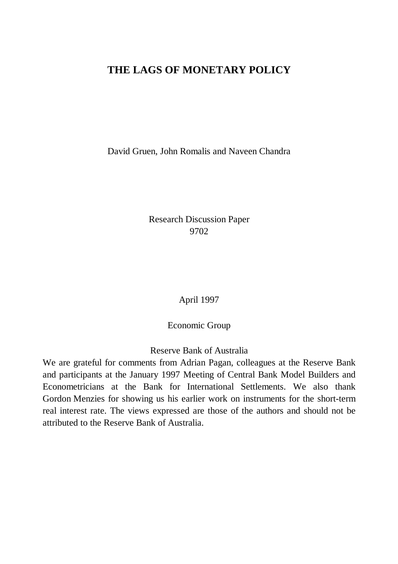## **THE LAGS OF MONETARY POLICY**

David Gruen, John Romalis and Naveen Chandra

Research Discussion Paper 9702

April 1997

Economic Group

Reserve Bank of Australia

We are grateful for comments from Adrian Pagan, colleagues at the Reserve Bank and participants at the January 1997 Meeting of Central Bank Model Builders and Econometricians at the Bank for International Settlements. We also thank Gordon Menzies for showing us his earlier work on instruments for the short-term real interest rate. The views expressed are those of the authors and should not be attributed to the Reserve Bank of Australia.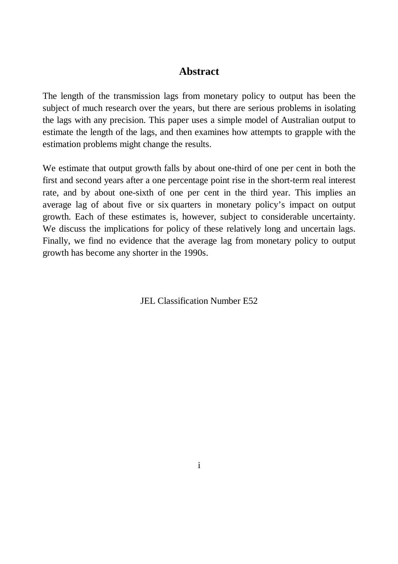## **Abstract**

The length of the transmission lags from monetary policy to output has been the subject of much research over the years, but there are serious problems in isolating the lags with any precision. This paper uses a simple model of Australian output to estimate the length of the lags, and then examines how attempts to grapple with the estimation problems might change the results.

We estimate that output growth falls by about one-third of one per cent in both the first and second years after a one percentage point rise in the short-term real interest rate, and by about one-sixth of one per cent in the third year. This implies an average lag of about five or six quarters in monetary policy's impact on output growth. Each of these estimates is, however, subject to considerable uncertainty. We discuss the implications for policy of these relatively long and uncertain lags. Finally, we find no evidence that the average lag from monetary policy to output growth has become any shorter in the 1990s.

JEL Classification Number E52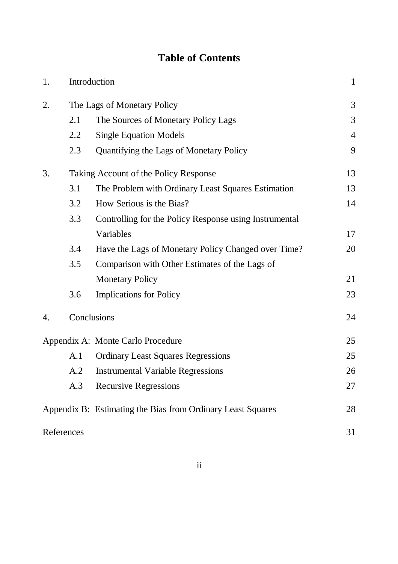# **Table of Contents**

| 1. |                                       | Introduction                                                | $\mathbf{1}$   |
|----|---------------------------------------|-------------------------------------------------------------|----------------|
| 2. | The Lags of Monetary Policy           |                                                             | 3              |
|    | 2.1                                   | The Sources of Monetary Policy Lags                         | 3              |
|    | 2.2                                   | <b>Single Equation Models</b>                               | $\overline{4}$ |
|    | 2.3                                   | Quantifying the Lags of Monetary Policy                     | 9              |
| 3. | Taking Account of the Policy Response |                                                             | 13             |
|    | 3.1                                   | The Problem with Ordinary Least Squares Estimation          | 13             |
|    | 3.2                                   | How Serious is the Bias?                                    | 14             |
|    | 3.3                                   | Controlling for the Policy Response using Instrumental      |                |
|    |                                       | Variables                                                   | 17             |
|    | 3.4                                   | Have the Lags of Monetary Policy Changed over Time?         | 20             |
|    | 3.5                                   | Comparison with Other Estimates of the Lags of              |                |
|    |                                       | <b>Monetary Policy</b>                                      | 21             |
|    | 3.6                                   | <b>Implications for Policy</b>                              | 23             |
| 4. |                                       | Conclusions                                                 | 24             |
|    |                                       | Appendix A: Monte Carlo Procedure                           | 25             |
|    | A.1                                   | <b>Ordinary Least Squares Regressions</b>                   | 25             |
|    | A.2                                   | <b>Instrumental Variable Regressions</b>                    | 26             |
|    | A.3                                   | <b>Recursive Regressions</b>                                | 27             |
|    |                                       | Appendix B: Estimating the Bias from Ordinary Least Squares | 28             |
|    | References                            |                                                             | 31             |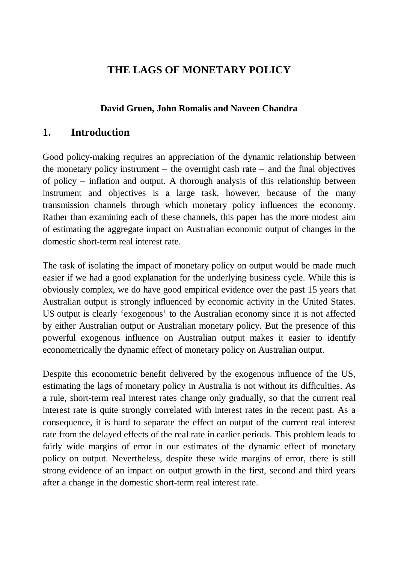## **THE LAGS OF MONETARY POLICY**

## **David Gruen, John Romalis and Naveen Chandra**

## **1. Introduction**

Good policy-making requires an appreciation of the dynamic relationship between the monetary policy instrument – the overnight cash rate – and the final objectives of policy – inflation and output. A thorough analysis of this relationship between instrument and objectives is a large task, however, because of the many transmission channels through which monetary policy influences the economy. Rather than examining each of these channels, this paper has the more modest aim of estimating the aggregate impact on Australian economic output of changes in the domestic short-term real interest rate.

The task of isolating the impact of monetary policy on output would be made much easier if we had a good explanation for the underlying business cycle. While this is obviously complex, we do have good empirical evidence over the past 15 years that Australian output is strongly influenced by economic activity in the United States. US output is clearly 'exogenous' to the Australian economy since it is not affected by either Australian output or Australian monetary policy. But the presence of this powerful exogenous influence on Australian output makes it easier to identify econometrically the dynamic effect of monetary policy on Australian output.

Despite this econometric benefit delivered by the exogenous influence of the US, estimating the lags of monetary policy in Australia is not without its difficulties. As a rule, short-term real interest rates change only gradually, so that the current real interest rate is quite strongly correlated with interest rates in the recent past. As a consequence, it is hard to separate the effect on output of the current real interest rate from the delayed effects of the real rate in earlier periods. This problem leads to fairly wide margins of error in our estimates of the dynamic effect of monetary policy on output. Nevertheless, despite these wide margins of error, there is still strong evidence of an impact on output growth in the first, second and third years after a change in the domestic short-term real interest rate.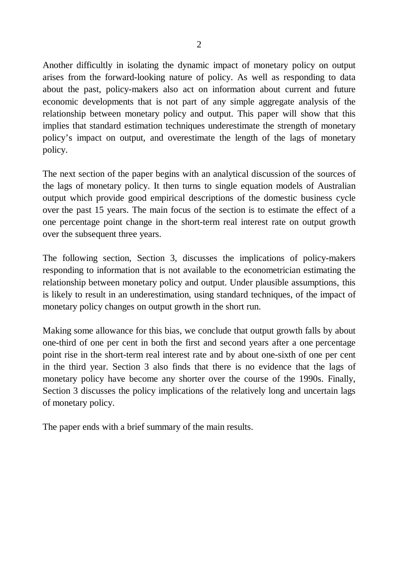Another difficultly in isolating the dynamic impact of monetary policy on output arises from the forward-looking nature of policy. As well as responding to data about the past, policy-makers also act on information about current and future economic developments that is not part of any simple aggregate analysis of the relationship between monetary policy and output. This paper will show that this implies that standard estimation techniques underestimate the strength of monetary policy's impact on output, and overestimate the length of the lags of monetary policy.

The next section of the paper begins with an analytical discussion of the sources of the lags of monetary policy. It then turns to single equation models of Australian output which provide good empirical descriptions of the domestic business cycle over the past 15 years. The main focus of the section is to estimate the effect of a one percentage point change in the short-term real interest rate on output growth over the subsequent three years.

The following section, Section 3, discusses the implications of policy-makers responding to information that is not available to the econometrician estimating the relationship between monetary policy and output. Under plausible assumptions, this is likely to result in an underestimation, using standard techniques, of the impact of monetary policy changes on output growth in the short run.

Making some allowance for this bias, we conclude that output growth falls by about one-third of one per cent in both the first and second years after a one percentage point rise in the short-term real interest rate and by about one-sixth of one per cent in the third year. Section 3 also finds that there is no evidence that the lags of monetary policy have become any shorter over the course of the 1990s. Finally, Section 3 discusses the policy implications of the relatively long and uncertain lags of monetary policy.

The paper ends with a brief summary of the main results.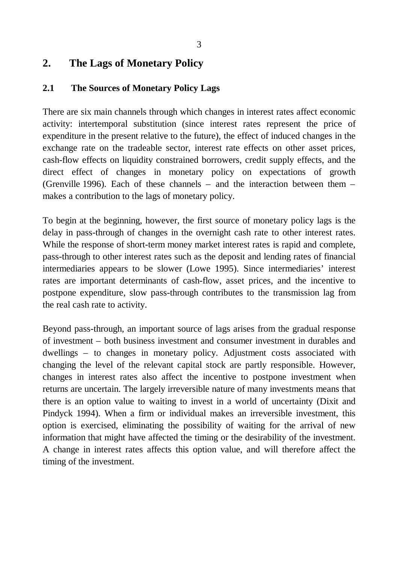## **2. The Lags of Monetary Policy**

### **2.1 The Sources of Monetary Policy Lags**

There are six main channels through which changes in interest rates affect economic activity: intertemporal substitution (since interest rates represent the price of expenditure in the present relative to the future), the effect of induced changes in the exchange rate on the tradeable sector, interest rate effects on other asset prices, cash-flow effects on liquidity constrained borrowers, credit supply effects, and the direct effect of changes in monetary policy on expectations of growth (Grenville 1996). Each of these channels – and the interaction between them – makes a contribution to the lags of monetary policy.

To begin at the beginning, however, the first source of monetary policy lags is the delay in pass-through of changes in the overnight cash rate to other interest rates. While the response of short-term money market interest rates is rapid and complete, pass-through to other interest rates such as the deposit and lending rates of financial intermediaries appears to be slower (Lowe 1995). Since intermediaries' interest rates are important determinants of cash-flow, asset prices, and the incentive to postpone expenditure, slow pass-through contributes to the transmission lag from the real cash rate to activity.

Beyond pass-through, an important source of lags arises from the gradual response of investment – both business investment and consumer investment in durables and dwellings – to changes in monetary policy. Adjustment costs associated with changing the level of the relevant capital stock are partly responsible. However, changes in interest rates also affect the incentive to postpone investment when returns are uncertain. The largely irreversible nature of many investments means that there is an option value to waiting to invest in a world of uncertainty (Dixit and Pindyck 1994). When a firm or individual makes an irreversible investment, this option is exercised, eliminating the possibility of waiting for the arrival of new information that might have affected the timing or the desirability of the investment. A change in interest rates affects this option value, and will therefore affect the timing of the investment.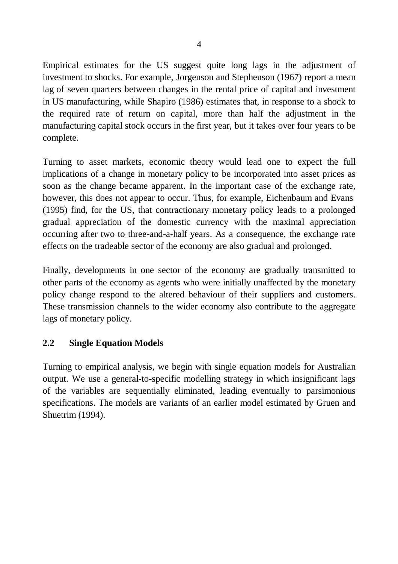Empirical estimates for the US suggest quite long lags in the adjustment of investment to shocks. For example, Jorgenson and Stephenson (1967) report a mean lag of seven quarters between changes in the rental price of capital and investment in US manufacturing, while Shapiro (1986) estimates that, in response to a shock to the required rate of return on capital, more than half the adjustment in the manufacturing capital stock occurs in the first year, but it takes over four years to be complete.

Turning to asset markets, economic theory would lead one to expect the full implications of a change in monetary policy to be incorporated into asset prices as soon as the change became apparent. In the important case of the exchange rate, however, this does not appear to occur. Thus, for example, Eichenbaum and Evans (1995) find, for the US, that contractionary monetary policy leads to a prolonged gradual appreciation of the domestic currency with the maximal appreciation occurring after two to three-and-a-half years. As a consequence, the exchange rate effects on the tradeable sector of the economy are also gradual and prolonged.

Finally, developments in one sector of the economy are gradually transmitted to other parts of the economy as agents who were initially unaffected by the monetary policy change respond to the altered behaviour of their suppliers and customers. These transmission channels to the wider economy also contribute to the aggregate lags of monetary policy.

### **2.2 Single Equation Models**

Turning to empirical analysis, we begin with single equation models for Australian output. We use a general-to-specific modelling strategy in which insignificant lags of the variables are sequentially eliminated, leading eventually to parsimonious specifications. The models are variants of an earlier model estimated by Gruen and Shuetrim (1994).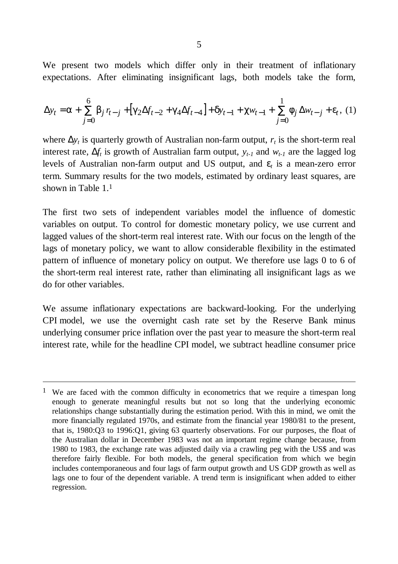We present two models which differ only in their treatment of inflationary expectations. After eliminating insignificant lags, both models take the form,

$$
\Delta y_t = \mathbf{a} + \sum_{j=0}^{6} \mathbf{b}_j r_{t-j} + \left[ \mathbf{g}_2 \Delta f_{t-2} + \mathbf{g}_4 \Delta f_{t-4} \right] + \mathbf{d}_{t-1} + \mathbf{c}_{W_{t-1}} + \sum_{j=0}^{1} \mathbf{f}_j \Delta w_{t-j} + \mathbf{e}_t, (1)
$$

where  $\Delta y_t$  is quarterly growth of Australian non-farm output,  $r_t$  is the short-term real interest rate,  $\Delta f_t$  is growth of Australian farm output,  $y_{t-1}$  and  $w_{t-1}$  are the lagged log levels of Australian non-farm output and US output, and *e<sup>t</sup>* is a mean-zero error term. Summary results for the two models, estimated by ordinary least squares, are shown in Table 1<sup>1</sup>

The first two sets of independent variables model the influence of domestic variables on output. To control for domestic monetary policy, we use current and lagged values of the short-term real interest rate. With our focus on the length of the lags of monetary policy, we want to allow considerable flexibility in the estimated pattern of influence of monetary policy on output. We therefore use lags 0 to 6 of the short-term real interest rate, rather than eliminating all insignificant lags as we do for other variables.

We assume inflationary expectations are backward-looking. For the underlying CPI model, we use the overnight cash rate set by the Reserve Bank minus underlying consumer price inflation over the past year to measure the short-term real interest rate, while for the headline CPI model, we subtract headline consumer price

<sup>&</sup>lt;sup>1</sup> We are faced with the common difficulty in econometrics that we require a timespan long enough to generate meaningful results but not so long that the underlying economic relationships change substantially during the estimation period. With this in mind, we omit the more financially regulated 1970s, and estimate from the financial year 1980/81 to the present, that is, 1980:Q3 to 1996:Q1, giving 63 quarterly observations. For our purposes, the float of the Australian dollar in December 1983 was not an important regime change because, from 1980 to 1983, the exchange rate was adjusted daily via a crawling peg with the US\$ and was therefore fairly flexible. For both models, the general specification from which we begin includes contemporaneous and four lags of farm output growth and US GDP growth as well as lags one to four of the dependent variable. A trend term is insignificant when added to either regression.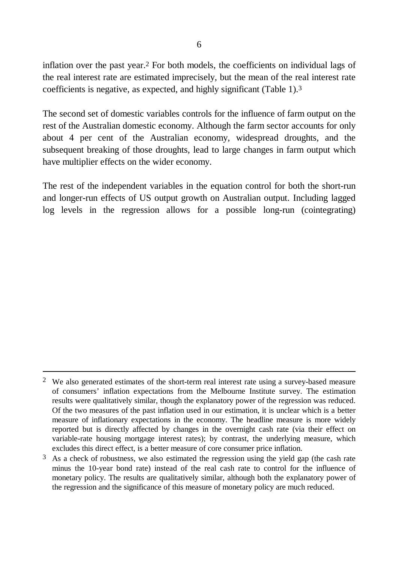inflation over the past year.2 For both models, the coefficients on individual lags of the real interest rate are estimated imprecisely, but the mean of the real interest rate coefficients is negative, as expected, and highly significant (Table 1).3

The second set of domestic variables controls for the influence of farm output on the rest of the Australian domestic economy. Although the farm sector accounts for only about 4 per cent of the Australian economy, widespread droughts, and the subsequent breaking of those droughts, lead to large changes in farm output which have multiplier effects on the wider economy.

The rest of the independent variables in the equation control for both the short-run and longer-run effects of US output growth on Australian output. Including lagged log levels in the regression allows for a possible long-run (cointegrating)

<sup>&</sup>lt;sup>2</sup> We also generated estimates of the short-term real interest rate using a survey-based measure of consumers' inflation expectations from the Melbourne Institute survey. The estimation results were qualitatively similar, though the explanatory power of the regression was reduced. Of the two measures of the past inflation used in our estimation, it is unclear which is a better measure of inflationary expectations in the economy. The headline measure is more widely reported but is directly affected by changes in the overnight cash rate (via their effect on variable-rate housing mortgage interest rates); by contrast, the underlying measure, which excludes this direct effect, is a better measure of core consumer price inflation.

 $3\,$  As a check of robustness, we also estimated the regression using the yield gap (the cash rate minus the 10-year bond rate) instead of the real cash rate to control for the influence of monetary policy. The results are qualitatively similar, although both the explanatory power of the regression and the significance of this measure of monetary policy are much reduced.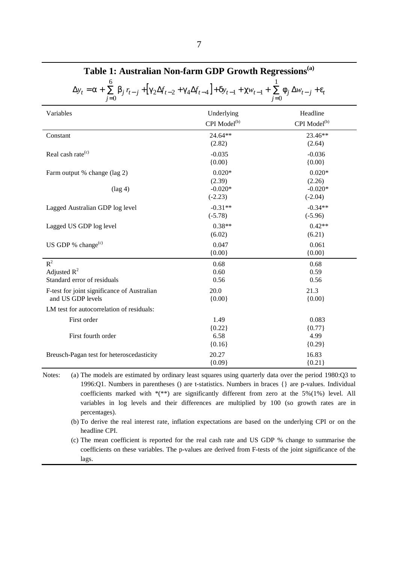| $\Delta y_t = \pmb{a} + \sum_{j=0}^{T} \pmb{b}_j r_{t-j} + \left[ \pmb{g}_2 \Delta f_{t-2} + \pmb{g}_4 \Delta f_{t-4} \right] + \pmb{d}_{t-1} + \pmb{c} w_{t-1} + \sum_{i=0}^{T} \pmb{f}_j \Delta w_{t-j} + \pmb{e}_t$ |                          |                           |  |  |  |
|------------------------------------------------------------------------------------------------------------------------------------------------------------------------------------------------------------------------|--------------------------|---------------------------|--|--|--|
| Variables                                                                                                                                                                                                              | Underlying               | Headline                  |  |  |  |
|                                                                                                                                                                                                                        | CPI Model <sup>(b)</sup> | CPI Model <sup>(b)</sup>  |  |  |  |
| Constant                                                                                                                                                                                                               | 24.64**<br>(2.82)        | 23.46**<br>(2.64)         |  |  |  |
| Real cash rate <sup>(c)</sup>                                                                                                                                                                                          | $-0.035$<br>${0.00}$     | $-0.036$<br>${0.00}$      |  |  |  |
| Farm output % change (lag 2)                                                                                                                                                                                           | $0.020*$<br>(2.39)       | $0.020*$<br>(2.26)        |  |  |  |
| $(\text{lag } 4)$                                                                                                                                                                                                      | $-0.020*$<br>$(-2.23)$   | $-0.020*$<br>$(-2.04)$    |  |  |  |
| Lagged Australian GDP log level                                                                                                                                                                                        | $-0.31**$<br>$(-5.78)$   | $-0.34**$<br>$(-5.96)$    |  |  |  |
| Lagged US GDP log level                                                                                                                                                                                                | $0.38**$<br>(6.02)       | $0.42**$<br>(6.21)        |  |  |  |
| US GDP % change <sup>(c)</sup>                                                                                                                                                                                         | 0.047<br>${0.00}$        | 0.061<br>${0.00}$         |  |  |  |
| $R^2$<br>Adjusted $R^2$<br>Standard error of residuals                                                                                                                                                                 | 0.68<br>0.60<br>0.56     | 0.68<br>0.59<br>0.56      |  |  |  |
| F-test for joint significance of Australian<br>and US GDP levels                                                                                                                                                       | 20.0<br>${0.00}$         | 21.3<br>${0.00}$          |  |  |  |
| LM test for autocorrelation of residuals:                                                                                                                                                                              |                          |                           |  |  |  |
| First order<br>First fourth order                                                                                                                                                                                      | 1.49<br>${0.22}$<br>6.58 | 0.083<br>${0.77}$<br>4.99 |  |  |  |
|                                                                                                                                                                                                                        | ${0.16}$                 | ${0.29}$                  |  |  |  |
| Breusch-Pagan test for heteroscedasticity                                                                                                                                                                              | 20.27<br>${0.09}$        | 16.83<br>${0.21}$         |  |  |  |

**Table 1: Australian Non-farm GDP Growth Regressions(a)**

Notes: (a) The models are estimated by ordinary least squares using quarterly data over the period 1980:Q3 to 1996:Q1. Numbers in parentheses () are t-statistics. Numbers in braces {} are p-values. Individual coefficients marked with \*(\*\*) are significantly different from zero at the 5%(1%) level. All variables in log levels and their differences are multiplied by 100 (so growth rates are in percentages).

(b) To derive the real interest rate, inflation expectations are based on the underlying CPI or on the headline CPI.

(c) The mean coefficient is reported for the real cash rate and US GDP % change to summarise the coefficients on these variables. The p-values are derived from F-tests of the joint significance of the lags.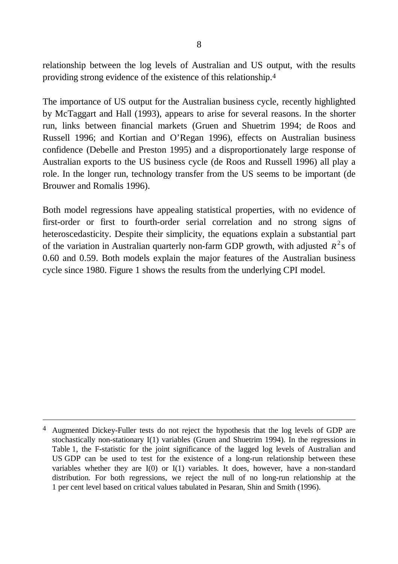relationship between the log levels of Australian and US output, with the results providing strong evidence of the existence of this relationship.4

The importance of US output for the Australian business cycle, recently highlighted by McTaggart and Hall (1993), appears to arise for several reasons. In the shorter run, links between financial markets (Gruen and Shuetrim 1994; de Roos and Russell 1996; and Kortian and O'Regan 1996), effects on Australian business confidence (Debelle and Preston 1995) and a disproportionately large response of Australian exports to the US business cycle (de Roos and Russell 1996) all play a role. In the longer run, technology transfer from the US seems to be important (de Brouwer and Romalis 1996).

Both model regressions have appealing statistical properties, with no evidence of first-order or first to fourth-order serial correlation and no strong signs of heteroscedasticity. Despite their simplicity, the equations explain a substantial part of the variation in Australian quarterly non-farm GDP growth, with adjusted *R* 2 s of 0.60 and 0.59. Both models explain the major features of the Australian business cycle since 1980. Figure 1 shows the results from the underlying CPI model.

<sup>&</sup>lt;sup>4</sup> Augmented Dickey-Fuller tests do not reject the hypothesis that the log levels of GDP are stochastically non-stationary I(1) variables (Gruen and Shuetrim 1994). In the regressions in Table 1, the F-statistic for the joint significance of the lagged log levels of Australian and US GDP can be used to test for the existence of a long-run relationship between these variables whether they are I(0) or I(1) variables. It does, however, have a non-standard distribution. For both regressions, we reject the null of no long-run relationship at the 1 per cent level based on critical values tabulated in Pesaran, Shin and Smith (1996).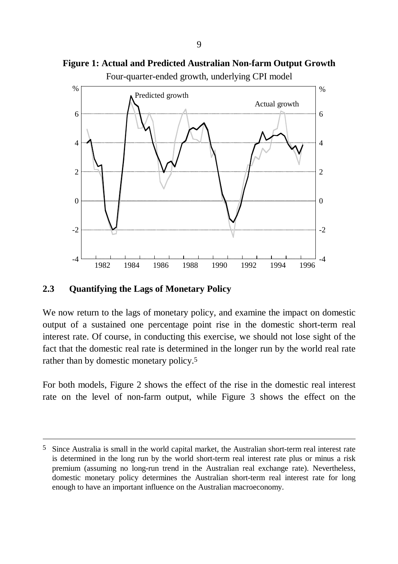

Four-quarter-ended growth, underlying CPI model

## **2.3 Quantifying the Lags of Monetary Policy**

 $\overline{a}$ 

We now return to the lags of monetary policy, and examine the impact on domestic output of a sustained one percentage point rise in the domestic short-term real interest rate. Of course, in conducting this exercise, we should not lose sight of the fact that the domestic real rate is determined in the longer run by the world real rate rather than by domestic monetary policy.5

For both models, Figure 2 shows the effect of the rise in the domestic real interest rate on the level of non-farm output, while Figure 3 shows the effect on the

<sup>5</sup> Since Australia is small in the world capital market, the Australian short-term real interest rate is determined in the long run by the world short-term real interest rate plus or minus a risk premium (assuming no long-run trend in the Australian real exchange rate). Nevertheless, domestic monetary policy determines the Australian short-term real interest rate for long enough to have an important influence on the Australian macroeconomy.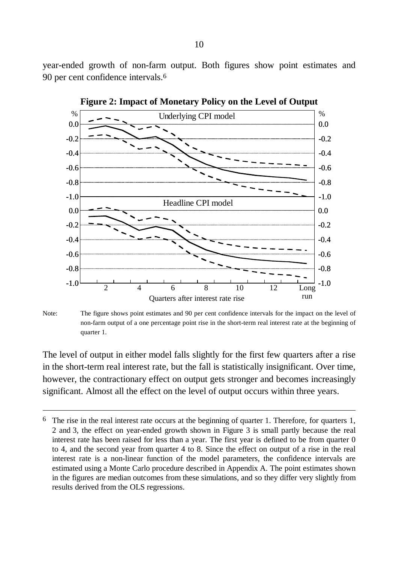year-ended growth of non-farm output. Both figures show point estimates and 90 per cent confidence intervals.6



**Figure 2: Impact of Monetary Policy on the Level of Output**

Note: The figure shows point estimates and 90 per cent confidence intervals for the impact on the level of non-farm output of a one percentage point rise in the short-term real interest rate at the beginning of quarter 1.

The level of output in either model falls slightly for the first few quarters after a rise in the short-term real interest rate, but the fall is statistically insignificant. Over time, however, the contractionary effect on output gets stronger and becomes increasingly significant. Almost all the effect on the level of output occurs within three years.

 $6\text{ }$  The rise in the real interest rate occurs at the beginning of quarter 1. Therefore, for quarters 1, 2 and 3, the effect on year-ended growth shown in Figure 3 is small partly because the real interest rate has been raised for less than a year. The first year is defined to be from quarter 0 to 4, and the second year from quarter 4 to 8. Since the effect on output of a rise in the real interest rate is a non-linear function of the model parameters, the confidence intervals are estimated using a Monte Carlo procedure described in Appendix A. The point estimates shown in the figures are median outcomes from these simulations, and so they differ very slightly from results derived from the OLS regressions.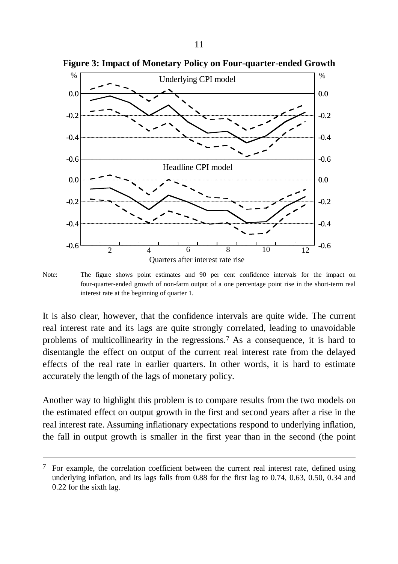

**Figure 3: Impact of Monetary Policy on Four-quarter-ended Growth**

Note: The figure shows point estimates and 90 per cent confidence intervals for the impact on four-quarter-ended growth of non-farm output of a one percentage point rise in the short-term real interest rate at the beginning of quarter 1.

It is also clear, however, that the confidence intervals are quite wide. The current real interest rate and its lags are quite strongly correlated, leading to unavoidable problems of multicollinearity in the regressions.7 As a consequence, it is hard to disentangle the effect on output of the current real interest rate from the delayed effects of the real rate in earlier quarters. In other words, it is hard to estimate accurately the length of the lags of monetary policy.

Another way to highlight this problem is to compare results from the two models on the estimated effect on output growth in the first and second years after a rise in the real interest rate. Assuming inflationary expectations respond to underlying inflation, the fall in output growth is smaller in the first year than in the second (the point

l

 $7$  For example, the correlation coefficient between the current real interest rate, defined using underlying inflation, and its lags falls from 0.88 for the first lag to 0.74, 0.63, 0.50, 0.34 and 0.22 for the sixth lag.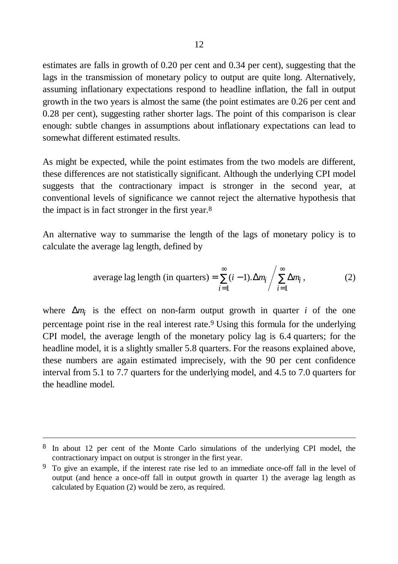estimates are falls in growth of 0.20 per cent and 0.34 per cent), suggesting that the lags in the transmission of monetary policy to output are quite long. Alternatively, assuming inflationary expectations respond to headline inflation, the fall in output growth in the two years is almost the same (the point estimates are 0.26 per cent and 0.28 per cent), suggesting rather shorter lags. The point of this comparison is clear enough: subtle changes in assumptions about inflationary expectations can lead to somewhat different estimated results.

As might be expected, while the point estimates from the two models are different, these differences are not statistically significant. Although the underlying CPI model suggests that the contractionary impact is stronger in the second year, at conventional levels of significance we cannot reject the alternative hypothesis that the impact is in fact stronger in the first year.8

An alternative way to summarise the length of the lags of monetary policy is to calculate the average lag length, defined by

average lag length (in quarters) = 
$$
\sum_{i=1}^{\infty} (i-1) \Delta m_i / \sum_{i=1}^{\infty} \Delta m_i,
$$
 (2)

where  $\Delta m_i$  is the effect on non-farm output growth in quarter *i* of the one percentage point rise in the real interest rate.9 Using this formula for the underlying CPI model, the average length of the monetary policy lag is 6.4 quarters; for the headline model, it is a slightly smaller 5.8 quarters. For the reasons explained above, these numbers are again estimated imprecisely, with the 90 per cent confidence interval from 5.1 to 7.7 quarters for the underlying model, and 4.5 to 7.0 quarters for the headline model.

<sup>8</sup> In about 12 per cent of the Monte Carlo simulations of the underlying CPI model, the contractionary impact on output is stronger in the first year.

 $9\degree$  To give an example, if the interest rate rise led to an immediate once-off fall in the level of output (and hence a once-off fall in output growth in quarter 1) the average lag length as calculated by Equation (2) would be zero, as required.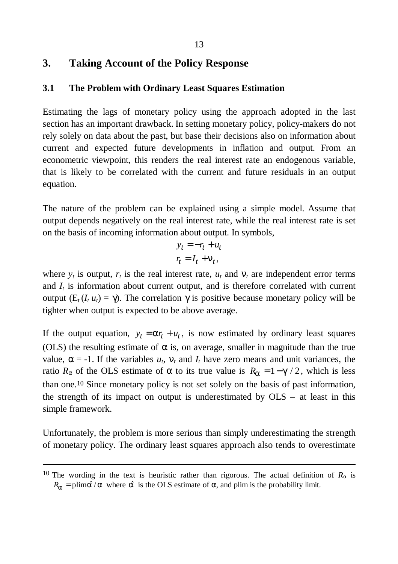## **3. Taking Account of the Policy Response**

#### **3.1 The Problem with Ordinary Least Squares Estimation**

Estimating the lags of monetary policy using the approach adopted in the last section has an important drawback. In setting monetary policy, policy-makers do not rely solely on data about the past, but base their decisions also on information about current and expected future developments in inflation and output. From an econometric viewpoint, this renders the real interest rate an endogenous variable, that is likely to be correlated with the current and future residuals in an output equation.

The nature of the problem can be explained using a simple model. Assume that output depends negatively on the real interest rate, while the real interest rate is set on the basis of incoming information about output. In symbols,

$$
y_t = -r_t + u_t
$$
  

$$
r_t = I_t + \mathbf{n}_t,
$$

where  $y_t$  is output,  $r_t$  is the real interest rate,  $u_t$  and  $\mathbf{n}_t$  are independent error terms and  $I_t$  is information about current output, and is therefore correlated with current output (E<sub>t</sub>(*I<sub>t</sub> u<sub>t</sub>*) = *g*. The correlation γ is positive because monetary policy will be tighter when output is expected to be above average.

If the output equation,  $y_t = a r_t + u_t$ , is now estimated by ordinary least squares (OLS) the resulting estimate of *a* is, on average, smaller in magnitude than the true value,  $\mathbf{a} = -1$ . If the variables  $u_t$ ,  $\mathbf{n}_t$  and  $I_t$  have zero means and unit variances, the ratio  $R_a$  of the OLS estimate of *a* to its true value is  $R_a = 1 - g/2$ , which is less than one.10 Since monetary policy is not set solely on the basis of past information, the strength of its impact on output is underestimated by OLS – at least in this simple framework.

Unfortunately, the problem is more serious than simply underestimating the strength of monetary policy. The ordinary least squares approach also tends to overestimate

<sup>&</sup>lt;sup>10</sup> The wording in the text is heuristic rather than rigorous. The actual definition of  $R_a$  is  $R_{a}$  = plim $\hat{a}$  / *a* where  $\hat{a}$  is the OLS estimate of *a*, and plim is the probability limit.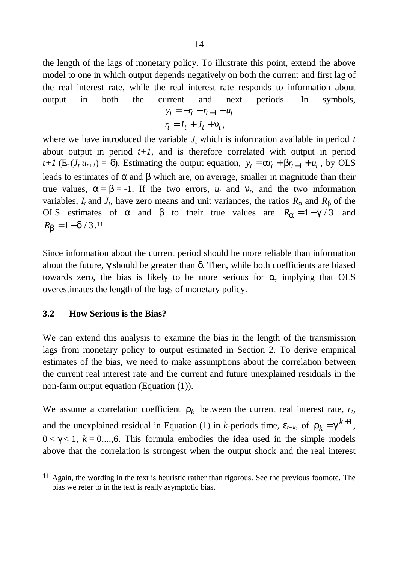the length of the lags of monetary policy. To illustrate this point, extend the above model to one in which output depends negatively on both the current and first lag of the real interest rate, while the real interest rate responds to information about output in both the current and next periods. In symbols,  $y_t = -r_t - r_{t-1} + u_t$ 

$$
r_t = I_t + J_t + \mathbf{n}_t,
$$

where we have introduced the variable  $J_t$  which is information available in period  $t$ about output in period  $t+1$ , and is therefore correlated with output in period  $t+1$  (E<sub>t</sub>(*J<sub>t</sub>*  $u_{t+1}$ ) =  $d$ ). Estimating the output equation,  $y_t = a r_t + b r_{t-1} + u_t$ , by OLS − leads to estimates of *a* and *b* which are, on average, smaller in magnitude than their true values,  $\mathbf{a} = \mathbf{b} = -1$ . If the two errors,  $u_t$  and  $\mathbf{n}_t$ , and the two information variables,  $I_t$  and  $J_t$ , have zero means and unit variances, the ratios  $R_a$  and  $R_b$  of the OLS estimates of *a* and *b* to their true values are  $R_a = 1 - g/3$  and  $R_b = 1 - d/3.11$ 

Since information about the current period should be more reliable than information about the future, γ should be greater than *d*. Then, while both coefficients are biased towards zero, the bias is likely to be more serious for **a**, implying that OLS overestimates the length of the lags of monetary policy.

#### **3.2 How Serious is the Bias?**

 $\overline{a}$ 

We can extend this analysis to examine the bias in the length of the transmission lags from monetary policy to output estimated in Section 2. To derive empirical estimates of the bias, we need to make assumptions about the correlation between the current real interest rate and the current and future unexplained residuals in the non-farm output equation (Equation (1)).

We assume a correlation coefficient  $r_k$  between the current real interest rate,  $r_t$ , and the unexplained residual in Equation (1) in *k*-periods time,  $e_{t+k}$ , of  $r_k = g^{k+1}$ ,  $0 < \mathbf{g} < 1$ ,  $k = 0,...,6$ . This formula embodies the idea used in the simple models above that the correlation is strongest when the output shock and the real interest

<sup>11</sup> Again, the wording in the text is heuristic rather than rigorous. See the previous footnote. The bias we refer to in the text is really asymptotic bias.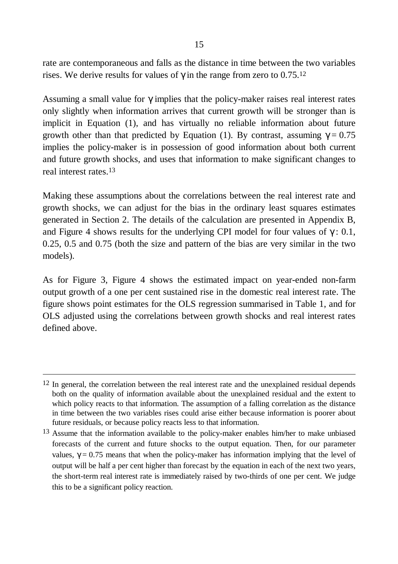rate are contemporaneous and falls as the distance in time between the two variables rises. We derive results for values of gin the range from zero to 0.75.<sup>12</sup>

Assuming a small value for *g*implies that the policy-maker raises real interest rates only slightly when information arrives that current growth will be stronger than is implicit in Equation (1), and has virtually no reliable information about future growth other than that predicted by Equation (1). By contrast, assuming  $g=0.75$ implies the policy-maker is in possession of good information about both current and future growth shocks, and uses that information to make significant changes to real interest rates.13

Making these assumptions about the correlations between the real interest rate and growth shocks, we can adjust for the bias in the ordinary least squares estimates generated in Section 2. The details of the calculation are presented in Appendix B, and Figure 4 shows results for the underlying CPI model for four values of *g*: 0.1, 0.25, 0.5 and 0.75 (both the size and pattern of the bias are very similar in the two models).

As for Figure 3, Figure 4 shows the estimated impact on year-ended non-farm output growth of a one per cent sustained rise in the domestic real interest rate. The figure shows point estimates for the OLS regression summarised in Table 1, and for OLS adjusted using the correlations between growth shocks and real interest rates defined above.

<sup>&</sup>lt;sup>12</sup> In general, the correlation between the real interest rate and the unexplained residual depends both on the quality of information available about the unexplained residual and the extent to which policy reacts to that information. The assumption of a falling correlation as the distance in time between the two variables rises could arise either because information is poorer about future residuals, or because policy reacts less to that information.

<sup>&</sup>lt;sup>13</sup> Assume that the information available to the policy-maker enables him/her to make unbiased forecasts of the current and future shocks to the output equation. Then, for our parameter values,  $\gamma = 0.75$  means that when the policy-maker has information implying that the level of output will be half a per cent higher than forecast by the equation in each of the next two years, the short-term real interest rate is immediately raised by two-thirds of one per cent. We judge this to be a significant policy reaction.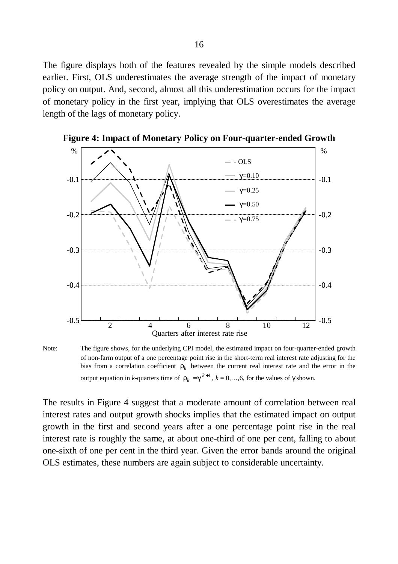The figure displays both of the features revealed by the simple models described earlier. First, OLS underestimates the average strength of the impact of monetary policy on output. And, second, almost all this underestimation occurs for the impact of monetary policy in the first year, implying that OLS overestimates the average length of the lags of monetary policy.



**Figure 4: Impact of Monetary Policy on Four-quarter-ended Growth**

Note: The figure shows, for the underlying CPI model, the estimated impact on four-quarter-ended growth of non-farm output of a one percentage point rise in the short-term real interest rate adjusting for the bias from a correlation coefficient  $r_k$  between the current real interest rate and the error in the output equation in *k*-quarters time of  $r_k = g^{k+1}$ ,  $k = 0, \ldots, 6$ , for the values of *g*shown.

The results in Figure 4 suggest that a moderate amount of correlation between real interest rates and output growth shocks implies that the estimated impact on output growth in the first and second years after a one percentage point rise in the real interest rate is roughly the same, at about one-third of one per cent, falling to about one-sixth of one per cent in the third year. Given the error bands around the original OLS estimates, these numbers are again subject to considerable uncertainty.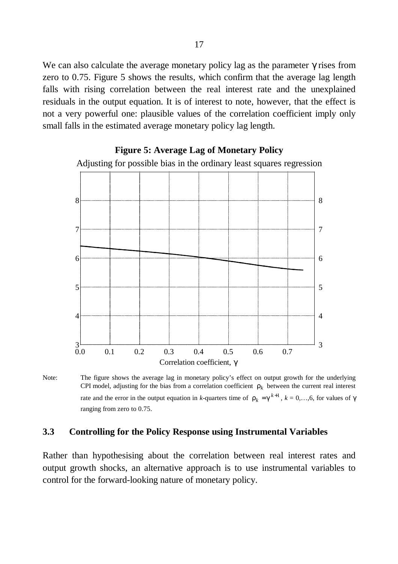We can also calculate the average monetary policy lag as the parameter **g** rises from zero to 0.75. Figure 5 shows the results, which confirm that the average lag length falls with rising correlation between the real interest rate and the unexplained residuals in the output equation. It is of interest to note, however, that the effect is not a very powerful one: plausible values of the correlation coefficient imply only small falls in the estimated average monetary policy lag length.



#### **Figure 5: Average Lag of Monetary Policy**

Note: The figure shows the average lag in monetary policy's effect on output growth for the underlying CPI model, adjusting for the bias from a correlation coefficient  $r_k$  between the current real interest rate and the error in the output equation in *k*-quarters time of  $r_k = g^{k+1}$ ,  $k = 0,...,6$ , for values of *g* ranging from zero to 0.75.

#### **3.3 Controlling for the Policy Response using Instrumental Variables**

Rather than hypothesising about the correlation between real interest rates and output growth shocks, an alternative approach is to use instrumental variables to control for the forward-looking nature of monetary policy.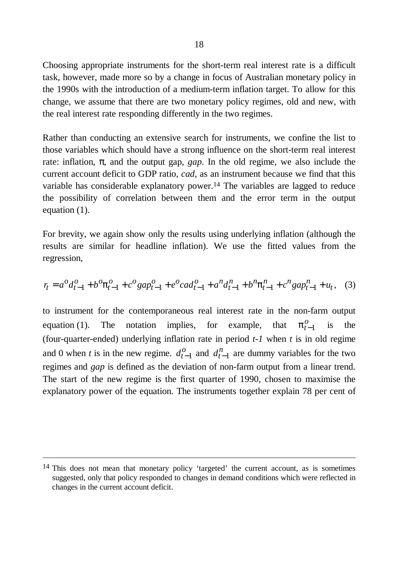Choosing appropriate instruments for the short-term real interest rate is a difficult task, however, made more so by a change in focus of Australian monetary policy in the 1990s with the introduction of a medium-term inflation target. To allow for this change, we assume that there are two monetary policy regimes, old and new, with the real interest rate responding differently in the two regimes.

Rather than conducting an extensive search for instruments, we confine the list to those variables which should have a strong influence on the short-term real interest rate: inflation, **p**, and the output gap, *gap*. In the old regime, we also include the current account deficit to GDP ratio, *cad*, as an instrument because we find that this variable has considerable explanatory power.<sup>14</sup> The variables are lagged to reduce the possibility of correlation between them and the error term in the output equation (1).

For brevity, we again show only the results using underlying inflation (although the results are similar for headline inflation). We use the fitted values from the regression,

$$
r_t = a^0 d_{t-1}^0 + b^0 \mathbf{p}_{t-1}^0 + c^0 g a p_{t-1}^0 + e^0 c a d_{t-1}^0 + a^n d_{t-1}^n + b^n \mathbf{p}_{t-1}^n + c^n g a p_{t-1}^n + u_t, \quad (3)
$$

to instrument for the contemporaneous real interest rate in the non-farm output equation (1). The notation implies, for example, that *o*  $-1$  is the (four-quarter-ended) underlying inflation rate in period *t-1* when *t* is in old regime and 0 when *t* is in the new regime.  $d_t^0$  $\int_{-1}^{0}$  and  $d_t^n$ .  $l_{-1}^{i}$  are dummy variables for the two regimes and *gap* is defined as the deviation of non-farm output from a linear trend. The start of the new regime is the first quarter of 1990, chosen to maximise the explanatory power of the equation. The instruments together explain 78 per cent of

l

<sup>&</sup>lt;sup>14</sup> This does not mean that monetary policy 'targeted' the current account, as is sometimes suggested, only that policy responded to changes in demand conditions which were reflected in changes in the current account deficit.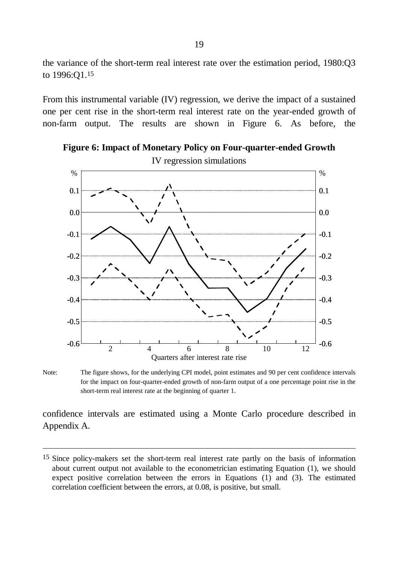the variance of the short-term real interest rate over the estimation period, 1980:Q3 to 1996:Q1.15

From this instrumental variable (IV) regression, we derive the impact of a sustained one per cent rise in the short-term real interest rate on the year-ended growth of non-farm output. The results are shown in Figure 6. As before, the



**Figure 6: Impact of Monetary Policy on Four-quarter-ended Growth**

Note: The figure shows, for the underlying CPI model, point estimates and 90 per cent confidence intervals for the impact on four-quarter-ended growth of non-farm output of a one percentage point rise in the short-term real interest rate at the beginning of quarter 1.

confidence intervals are estimated using a Monte Carlo procedure described in Appendix A.

<sup>&</sup>lt;sup>15</sup> Since policy-makers set the short-term real interest rate partly on the basis of information about current output not available to the econometrician estimating Equation (1), we should expect positive correlation between the errors in Equations (1) and (3). The estimated correlation coefficient between the errors, at 0.08, is positive, but small.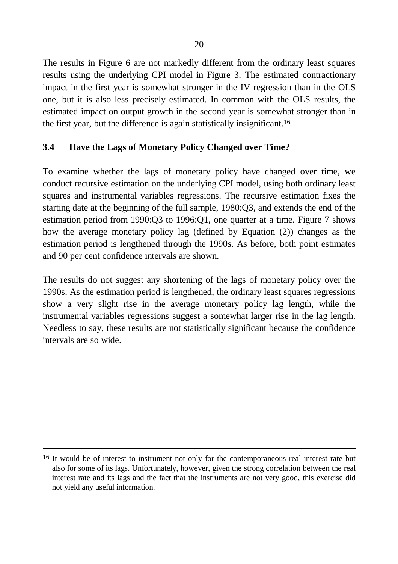The results in Figure 6 are not markedly different from the ordinary least squares results using the underlying CPI model in Figure 3. The estimated contractionary impact in the first year is somewhat stronger in the IV regression than in the OLS one, but it is also less precisely estimated. In common with the OLS results, the estimated impact on output growth in the second year is somewhat stronger than in the first year, but the difference is again statistically insignificant.16

## **3.4 Have the Lags of Monetary Policy Changed over Time?**

To examine whether the lags of monetary policy have changed over time, we conduct recursive estimation on the underlying CPI model, using both ordinary least squares and instrumental variables regressions. The recursive estimation fixes the starting date at the beginning of the full sample, 1980:Q3, and extends the end of the estimation period from 1990:Q3 to 1996:Q1, one quarter at a time. Figure 7 shows how the average monetary policy lag (defined by Equation (2)) changes as the estimation period is lengthened through the 1990s. As before, both point estimates and 90 per cent confidence intervals are shown.

The results do not suggest any shortening of the lags of monetary policy over the 1990s. As the estimation period is lengthened, the ordinary least squares regressions show a very slight rise in the average monetary policy lag length, while the instrumental variables regressions suggest a somewhat larger rise in the lag length. Needless to say, these results are not statistically significant because the confidence intervals are so wide.

<sup>&</sup>lt;sup>16</sup> It would be of interest to instrument not only for the contemporaneous real interest rate but also for some of its lags. Unfortunately, however, given the strong correlation between the real interest rate and its lags and the fact that the instruments are not very good, this exercise did not yield any useful information.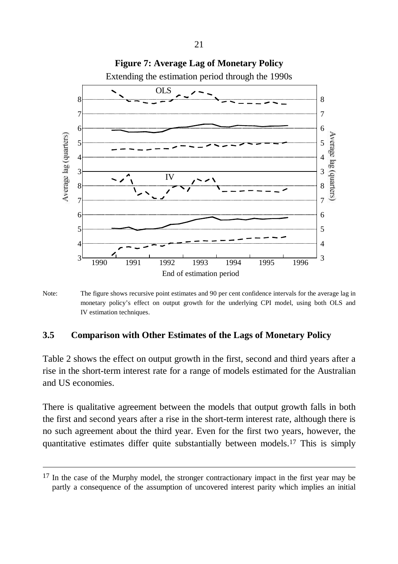

**Figure 7: Average Lag of Monetary Policy**

Note: The figure shows recursive point estimates and 90 per cent confidence intervals for the average lag in monetary policy's effect on output growth for the underlying CPI model, using both OLS and IV estimation techniques.

### **3.5 Comparison with Other Estimates of the Lags of Monetary Policy**

Table 2 shows the effect on output growth in the first, second and third years after a rise in the short-term interest rate for a range of models estimated for the Australian and US economies.

There is qualitative agreement between the models that output growth falls in both the first and second years after a rise in the short-term interest rate, although there is no such agreement about the third year. Even for the first two years, however, the quantitative estimates differ quite substantially between models.17 This is simply

<sup>&</sup>lt;sup>17</sup> In the case of the Murphy model, the stronger contractionary impact in the first year may be partly a consequence of the assumption of uncovered interest parity which implies an initial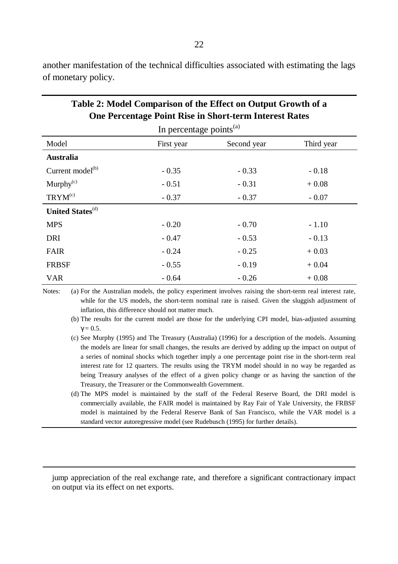**One Percentage Point Rise in Short-term Interest Rates** In percentage points<sup>(a)</sup> Model First year Second year Third year **Australia**  $Current model<sup>(b)</sup> -0.35 -0.33 -0.18$ Murphy<sup>(c)</sup>  $-0.51$   $-0.31$   $+0.08$  $TRYM^{(c)}$  - 0.37 - 0.37 - 0.07 **United States**<sup>(d)</sup> MPS - 0.20 - 0.70 - 1.10 DRI - 0.47 - 0.53 - 0.13 FAIR  $-0.24$   $-0.25$   $+0.03$ FRBSF  $-0.55$   $-0.19$   $+0.04$ VAR  $-0.64$   $-0.26$   $+0.08$ 

another manifestation of the technical difficulties associated with estimating the lags of monetary policy.

**Table 2: Model Comparison of the Effect on Output Growth of a**

Notes: (a) For the Australian models, the policy experiment involves raising the short-term real interest rate, while for the US models, the short-term nominal rate is raised. Given the sluggish adjustment of inflation, this difference should not matter much.

(b) The results for the current model are those for the underlying CPI model, bias-adjusted assuming  $g=0.5$ .

(c) See Murphy (1995) and The Treasury (Australia) (1996) for a description of the models. Assuming the models are linear for small changes, the results are derived by adding up the impact on output of a series of nominal shocks which together imply a one percentage point rise in the short-term real interest rate for 12 quarters. The results using the TRYM model should in no way be regarded as being Treasury analyses of the effect of a given policy change or as having the sanction of the Treasury, the Treasurer or the Commonwealth Government.

(d) The MPS model is maintained by the staff of the Federal Reserve Board, the DRI model is commercially available, the FAIR model is maintained by Ray Fair of Yale University, the FRBSF model is maintained by the Federal Reserve Bank of San Francisco, while the VAR model is a standard vector autoregressive model (see Rudebusch (1995) for further details).

jump appreciation of the real exchange rate, and therefore a significant contractionary impact on output via its effect on net exports.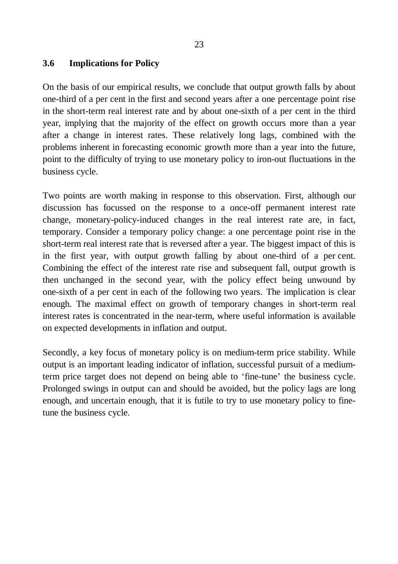#### **3.6 Implications for Policy**

On the basis of our empirical results, we conclude that output growth falls by about one-third of a per cent in the first and second years after a one percentage point rise in the short-term real interest rate and by about one-sixth of a per cent in the third year, implying that the majority of the effect on growth occurs more than a year after a change in interest rates. These relatively long lags, combined with the problems inherent in forecasting economic growth more than a year into the future, point to the difficulty of trying to use monetary policy to iron-out fluctuations in the business cycle.

Two points are worth making in response to this observation. First, although our discussion has focussed on the response to a once-off permanent interest rate change, monetary-policy-induced changes in the real interest rate are, in fact, temporary. Consider a temporary policy change: a one percentage point rise in the short-term real interest rate that is reversed after a year. The biggest impact of this is in the first year, with output growth falling by about one-third of a per cent. Combining the effect of the interest rate rise and subsequent fall, output growth is then unchanged in the second year, with the policy effect being unwound by one-sixth of a per cent in each of the following two years. The implication is clear enough. The maximal effect on growth of temporary changes in short-term real interest rates is concentrated in the near-term, where useful information is available on expected developments in inflation and output.

Secondly, a key focus of monetary policy is on medium-term price stability. While output is an important leading indicator of inflation, successful pursuit of a mediumterm price target does not depend on being able to 'fine-tune' the business cycle. Prolonged swings in output can and should be avoided, but the policy lags are long enough, and uncertain enough, that it is futile to try to use monetary policy to finetune the business cycle.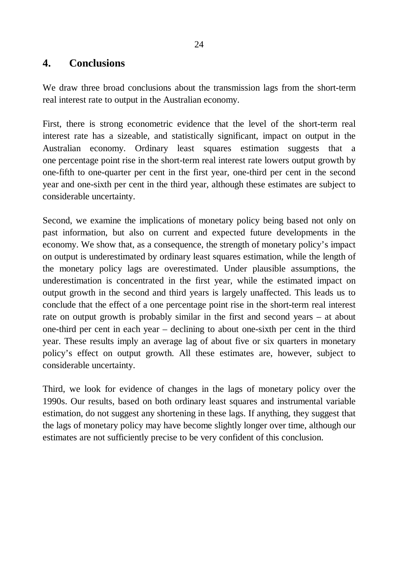## **4. Conclusions**

We draw three broad conclusions about the transmission lags from the short-term real interest rate to output in the Australian economy.

First, there is strong econometric evidence that the level of the short-term real interest rate has a sizeable, and statistically significant, impact on output in the Australian economy. Ordinary least squares estimation suggests that a one percentage point rise in the short-term real interest rate lowers output growth by one-fifth to one-quarter per cent in the first year, one-third per cent in the second year and one-sixth per cent in the third year, although these estimates are subject to considerable uncertainty.

Second, we examine the implications of monetary policy being based not only on past information, but also on current and expected future developments in the economy. We show that, as a consequence, the strength of monetary policy's impact on output is underestimated by ordinary least squares estimation, while the length of the monetary policy lags are overestimated. Under plausible assumptions, the underestimation is concentrated in the first year, while the estimated impact on output growth in the second and third years is largely unaffected. This leads us to conclude that the effect of a one percentage point rise in the short-term real interest rate on output growth is probably similar in the first and second years – at about one-third per cent in each year – declining to about one-sixth per cent in the third year. These results imply an average lag of about five or six quarters in monetary policy's effect on output growth. All these estimates are, however, subject to considerable uncertainty.

Third, we look for evidence of changes in the lags of monetary policy over the 1990s. Our results, based on both ordinary least squares and instrumental variable estimation, do not suggest any shortening in these lags. If anything, they suggest that the lags of monetary policy may have become slightly longer over time, although our estimates are not sufficiently precise to be very confident of this conclusion.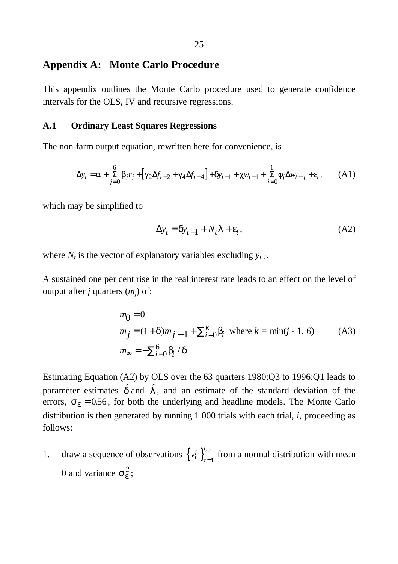## **Appendix A: Monte Carlo Procedure**

This appendix outlines the Monte Carlo procedure used to generate confidence intervals for the OLS, IV and recursive regressions.

#### **A.1 Ordinary Least Squares Regressions**

The non-farm output equation, rewritten here for convenience, is

$$
\Delta y_t = \mathbf{a} + \sum_{j=0}^{6} \mathbf{b}_j r_j + [\mathbf{g}_k \Delta f_{t-2} + \mathbf{g}_k \Delta f_{t-4}] + \mathbf{d}_{t-1} + \mathbf{c}_{w_{t-1}} + \sum_{j=0}^{1} \mathbf{f}_j \Delta w_{t-j} + \mathbf{e}_t, \quad (A1)
$$

which may be simplified to

$$
\Delta y_t = \mathbf{d} y_{t-1} + N_t \mathbf{I} + \mathbf{e}_t,\tag{A2}
$$

where  $N_t$  is the vector of explanatory variables excluding  $y_{t-1}$ .

A sustained one per cent rise in the real interest rate leads to an effect on the level of output after *j* quarters (*mj*) of:

$$
m_0 = 0
$$
  
\n
$$
m_j = (1 + \mathbf{d})m_{j-1} + \sum_{i=0}^{k} \mathbf{b}_i \text{ where } k = \min(j - 1, 6)
$$
 (A3)  
\n
$$
m_{\infty} = -\sum_{i=0}^{6} \mathbf{b}_i / \mathbf{d}.
$$

Estimating Equation (A2) by OLS over the 63 quarters 1980:Q3 to 1996:Q1 leads to parameter estimates  $\hat{d}$  and  $\hat{I}$ , and an estimate of the standard deviation of the errors,  $s_e$  = 0.56, for both the underlying and headline models. The Monte Carlo distribution is then generated by running 1 000 trials with each trial, *i*, proceeding as follows:

1. draw a sequence of observations  $\begin{cases} e^i_t \end{cases}$   $\begin{cases} e^i_t \end{cases}$  from a normal distribution with mean 0 and variance  $s_e^2$ ;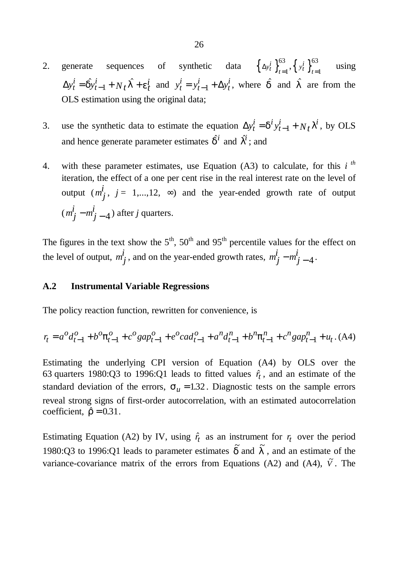- 2. generate sequences of synthetic data  $\left\{\Delta y_t^i\right\}_{t=1}^{\infty}$  $_{t=1}^{63}, \left\{ y_t^i \right\}_{t=1}^{63}$  using  $\Delta y_t^i = \hat{\boldsymbol{d}} y_{t-1}^i + N_t \hat{\boldsymbol{I}} + \boldsymbol{e}_t^i$ *i t*  $= \hat{\mathbf{d}} \hat{y}_{t-1}^i + N_t \hat{\mathbf{I}} + \mathbf{e}_t^i$  and  $y_t^i = y_{t-1}^i + \Delta y$ *t i t*  $y_{t-1}^i + \Delta y_t^i$ , where  $\hat{d}$  and  $\hat{I}$  are from the OLS estimation using the original data;
- 3. use the synthetic data to estimate the equation  $\Delta y_t^i = \mathbf{d}^i y_{t-1}^i + N_t$ *t*  $=$   $\vec{d} y_{t-1}^i$  +  $N_t \vec{l}^i$ , by OLS and hence generate parameter estimates  $\hat{\boldsymbol{d}}$  and  $\hat{\boldsymbol{l}}^i$ ; and
- 4. with these parameter estimates, use Equation (A3) to calculate, for this *i th* iteration, the effect of a one per cent rise in the real interest rate on the level of output  $(m_j^j, j = 1,...,12, \infty)$  and the year-ended growth rate of output  $(m_j^{\dot{i}} - m_j^{\dot{i}})$ − − 4 ) after *j* quarters.

The figures in the text show the  $5<sup>th</sup>$ ,  $50<sup>th</sup>$  and  $95<sup>th</sup>$  percentile values for the effect on the level of output,  $m_j^i$ , and on the year-ended growth rates,  $m_j^i - m_j^i$ −  $-4$ .

#### **A.2 Instrumental Variable Regressions**

The policy reaction function, rewritten for convenience, is

$$
r_{t} = a^{o} d_{t-1}^{o} + b^{o} \mathbf{p}_{t-1}^{o} + c^{o} gap_{t-1}^{o} + e^{o} cad_{t-1}^{o} + a^{n} d_{t-1}^{n} + b^{n} \mathbf{p}_{t-1}^{n} + c^{n} gap_{t-1}^{n} + u_{t}.
$$
 (A4)

Estimating the underlying CPI version of Equation (A4) by OLS over the 63 quarters 1980:Q3 to 1996:Q1 leads to fitted values  $\hat{r}_t$ , and an estimate of the standard deviation of the errors,  $s_u = 1.32$ . Diagnostic tests on the sample errors reveal strong signs of first-order autocorrelation, with an estimated autocorrelation coefficient,  $\hat{r} = 0.31$ .

Estimating Equation (A2) by IV, using  $\hat{r}_t$  as an instrument for  $r_t$  over the period 1980:Q3 to 1996:Q1 leads to parameter estimates  $\tilde{d}$  and  $\tilde{I}$ , and an estimate of the variance-covariance matrix of the errors from Equations (A2) and (A4),  $\tilde{V}$ . The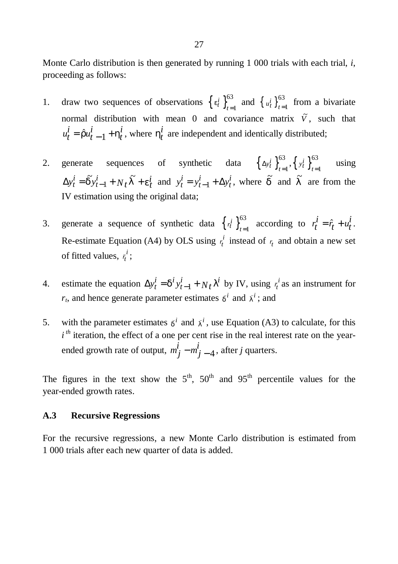Monte Carlo distribution is then generated by running 1 000 trials with each trial, *i*, proceeding as follows:

- 1. draw two sequences of observations  $\left\{ e^i_t \right\}_{t=1}^{63}$  and  $\left\{ u^i_t \right\}_{t=1}^{63}$  from a bivariate normal distribution with mean 0 and covariance matrix  $\tilde{V}$ , such that  $u_t^i = \hat{r} u_t^i$ *t*  $= \hat{r} u_t^i_{t-1} + h_t^i$ , where  $h_t^i$ −  $\frac{i}{t}$  are independent and identically distributed;
- 2. generate sequences of synthetic data  $\left\{\Delta y_t^i\right\}_{t=1}^{\infty}$  $_{t=1}^{63}, \left\{ y_t^i \right\}_{t=1}^{63}$  using  $\Delta y_t^i = \tilde{\mathbf{d}} y_{t-1}^i + N_t \tilde{\mathbf{I}} + \mathbf{e}_t^i$ *i t*  $=\widetilde{\mathbf{d}}\mathbf{y}_{t-1}^i$  +  $N_t\widetilde{\mathbf{I}}$  -−  $\tilde{a}$ ,  $i \rightarrow \tilde{r}$  $\tilde{d}y_{t-1}^i + N_t \tilde{I} + e_t^i$  and  $y_t^i = y_{t-1}^i + \Delta y$ *t i t*  $= y_{t-1}^i + \Delta y_t^i$ , where  $\tilde{d}$  and  $\tilde{I}$  are from the IV estimation using the original data;
- 3. generate a sequence of synthetic data  $\left\{ r_t^i \right\}_{t=1}^{63}$  according to  $r_t^i$  $i_t$ <sup>*i*</sup> =  $\hat{r}_t$  +  $u_t$ <sup>*i*</sup>. Re-estimate Equation (A4) by OLS using *r t*  $\frac{i}{t}$  instead of  $r_t$  and obtain a new set of fitted values,  $\bar{r}_t$ *i* ;
- 4. estimate the equation  $\Delta y_t^i = \mathbf{d}^i y_{t-1}^i + N_t$ *t*  $= d^j y_{t-1}^i + N_t l^i$  by IV, using  $\bar{r}_t$ *i* as an instrument for  $r_t$ , and hence generate parameter estimates  $\vec{d}$  and  $\vec{I}^i$ ; and
- 5. with the parameter estimates  $\vec{d}^i$  and  $\vec{l}^i$ , use Equation (A3) to calculate, for this  $i<sup>th</sup>$  iteration, the effect of a one per cent rise in the real interest rate on the yearended growth rate of output,  $m_j^i - m_j^i$ − − 4 , after *j* quarters.

The figures in the text show the  $5<sup>th</sup>$ ,  $50<sup>th</sup>$  and  $95<sup>th</sup>$  percentile values for the year-ended growth rates.

#### **A.3 Recursive Regressions**

For the recursive regressions, a new Monte Carlo distribution is estimated from 1 000 trials after each new quarter of data is added.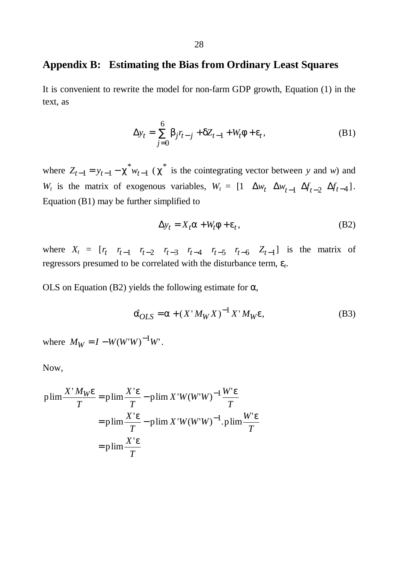## **Appendix B: Estimating the Bias from Ordinary Least Squares**

It is convenient to rewrite the model for non-farm GDP growth, Equation (1) in the text, as

$$
\Delta y_t = \sum_{j=0}^{6} b_j r_{t-j} + cZ_{t-1} + W_t f + e_t, \tag{B1}
$$

where  $Z_{t-1} = y_{t-1} - c^* w_{t-1}$  (  $c^*$  is the cointegrating vector between *y* and *w*) and *W<sub>t</sub>* is the matrix of exogenous variables,  $W_t = \begin{bmatrix} 1 & \Delta w_t & \Delta w_{t-1} & \Delta f_{t-2} & \Delta f_{t-4} \end{bmatrix}$ . − Equation (B1) may be further simplified to

$$
\Delta y_t = X_t \mathbf{a} + W_t \mathbf{f} + \mathbf{e}_t, \tag{B2}
$$

where  $X_t = [r_t \ r_{t-1} \ r_{t-2} \ r_{t-3} \ r_{t-4} \ r_{t-5} \ r_{t-6} \ Z_{t-1}]$  is the matrix of regressors presumed to be correlated with the disturbance term, *e<sup>t</sup>* .

OLS on Equation (B2) yields the following estimate for  $\alpha$ ,

$$
\hat{\boldsymbol{a}}_{OLS} = \boldsymbol{a} + \left(\boldsymbol{X}^{\top} M_W \boldsymbol{X}\right)^{-1} \boldsymbol{X}^{\top} M_W \boldsymbol{e},\tag{B3}
$$

where  $M_W = I - W(W^*W)^{-1}W^*$ . −

Now,

$$
\text{plim}\frac{X'M_W\textbf{e}}{T} = \text{plim}\frac{X'\textbf{e}}{T} - \text{plim}\,X'W(W'W)^{-1}\frac{W'\textbf{e}}{T}
$$
\n
$$
= \text{plim}\frac{X'\textbf{e}}{T} - \text{plim}\,X'W(W'W)^{-1}.\text{plim}\frac{W'\textbf{e}}{T}
$$
\n
$$
= \text{plim}\frac{X'\textbf{e}}{T}
$$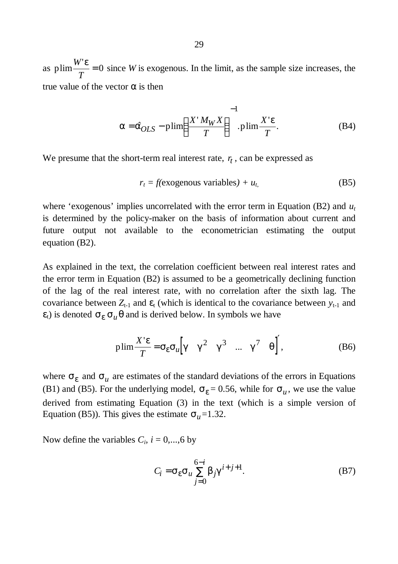as plim $\frac{W'}{W}$ *T e*  $= 0$  since *W* is exogenous. In the limit, as the sample size increases, the true value of the vector  $\alpha$  is then

$$
\mathbf{a} = \hat{\mathbf{a}}_{OLS} - \text{plim}\left(\frac{X'M_WX}{T}\right)^{-1}.\text{plim}\frac{X'\mathbf{e}}{T}.
$$
 (B4)

We presume that the short-term real interest rate,  $r<sub>t</sub>$ , can be expressed as

$$
r_t = f(exogenous variables) + u_t,
$$
 (B5)

where 'exogenous' implies uncorrelated with the error term in Equation (B2) and *u<sup>t</sup>* is determined by the policy-maker on the basis of information about current and future output not available to the econometrician estimating the output equation (B2).

As explained in the text, the correlation coefficient between real interest rates and the error term in Equation (B2) is assumed to be a geometrically declining function of the lag of the real interest rate, with no correlation after the sixth lag. The covariance between  $Z_{t-1}$  and  $\varepsilon_t$  (which is identical to the covariance between  $y_{t-1}$  and  $\varepsilon$ <sub>t</sub>) is denoted  $\mathbf{s}_e \mathbf{s}_u \mathbf{q}$  and is derived below. In symbols we have

$$
\text{plim}\frac{X'e}{T} = \mathbf{s}_e \mathbf{s}_u \Big[ \mathbf{g} \quad \mathbf{g}^2 \quad \mathbf{g}^3 \quad \dots \quad \mathbf{g}^7 \quad \mathbf{q} \Big]^\prime, \tag{B6}
$$

where  $s_e$  and  $s_u$  are estimates of the standard deviations of the errors in Equations (B1) and (B5). For the underlying model,  $s_e = 0.56$ , while for  $s_u$ , we use the value derived from estimating Equation (3) in the text (which is a simple version of Equation (B5)). This gives the estimate  $s_u$ =1.32.

Now define the variables  $C_i$ ,  $i = 0,...,6$  by

$$
C_i = \mathbf{s} e^{\mathbf{S}} u \sum_{j=0}^{6-i} \mathbf{b}_j \mathbf{g}^{i+j+1}.
$$
 (B7)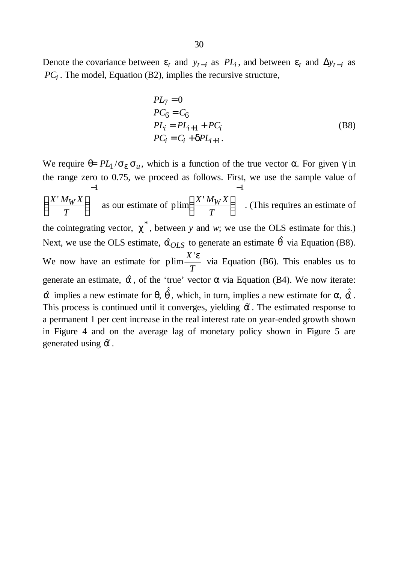Denote the covariance between  $e_t$  and  $y_{t-i}$  as  $PL_i$ , and between  $e_t$  and  $\Delta y_{t-i}$  as *PC<sup>i</sup>* . The model, Equation (B2), implies the recursive structure,

$$
PL7 = 0
$$
  
\n
$$
PC6 = C6
$$
  
\n
$$
PLi = PLi+1 + PCi
$$
  
\n
$$
PCi = Ci + dPLi+1.
$$
 (B8)

We require  $\theta = PL_1 / s_e s_u$ , which is a function of the true vector  $\alpha$ . For given  $\gamma$  in the range zero to 0.75, we proceed as follows. First, we use the sample value of  $X' M_W X$ *T*  $\int \frac{X^{\prime} M_W}{\sqrt{W}}$  $\overline{\phantom{a}}$  $\lambda$  $\overline{\phantom{a}}$  $-1$ as our estimate of plim  $\frac{X' M_W X}{-}$ *T*  $\int \frac{X^{\prime }M_{W}}$  $\overline{\phantom{a}}$  $\left( \frac{1}{2} \right)$  $\overline{\phantom{a}}$  $-1$ . (This requires an estimate of the cointegrating vector,  $c^*$ , between *y* and *w*; we use the OLS estimate for this.) Next, we use the OLS estimate,  $\hat{a}_{OLS}$  to generate an estimate  $\hat{q}$  via Equation (B8). We now have an estimate for plim $\frac{X'}{X}$ *T e* via Equation (B6). This enables us to generate an estimate,  $\hat{a}$ , of the 'true' vector  $\alpha$  via Equation (B4). We now iterate:  $\hat{\mathbf{a}}$  implies a new estimate for  $\theta$ ,  $\hat{\hat{\mathbf{q}}}$ , which, in turn, implies a new estimate for  $\alpha$ ,  $\hat{\hat{\mathbf{a}}}$ . This process is continued until it converges, yielding  $\tilde{a}$ . The estimated response to a permanent 1 per cent increase in the real interest rate on year-ended growth shown in Figure 4 and on the average lag of monetary policy shown in Figure 5 are generated using  $\tilde{a}$ .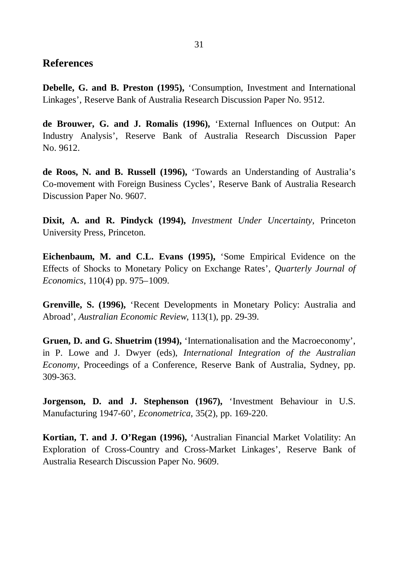### **References**

**Debelle, G. and B. Preston (1995),** 'Consumption, Investment and International Linkages', Reserve Bank of Australia Research Discussion Paper No. 9512.

**de Brouwer, G. and J. Romalis (1996),** 'External Influences on Output: An Industry Analysis', Reserve Bank of Australia Research Discussion Paper No. 9612.

**de Roos, N. and B. Russell (1996),** 'Towards an Understanding of Australia's Co-movement with Foreign Business Cycles', Reserve Bank of Australia Research Discussion Paper No. 9607.

**Dixit, A. and R. Pindyck (1994),** *Investment Under Uncertainty*, Princeton University Press, Princeton.

**Eichenbaum, M. and C.L. Evans (1995),** 'Some Empirical Evidence on the Effects of Shocks to Monetary Policy on Exchange Rates', *Quarterly Journal of Economics*, 110(4) pp. 975–1009.

**Grenville, S. (1996),** 'Recent Developments in Monetary Policy: Australia and Abroad', *Australian Economic Review*, 113(1), pp. 29-39.

**Gruen, D. and G. Shuetrim (1994),** 'Internationalisation and the Macroeconomy', in P. Lowe and J. Dwyer (eds), *International Integration of the Australian Economy*, Proceedings of a Conference, Reserve Bank of Australia, Sydney, pp. 309-363.

**Jorgenson, D. and J. Stephenson (1967),** 'Investment Behaviour in U.S. Manufacturing 1947-60', *Econometrica*, 35(2), pp. 169-220.

**Kortian, T. and J. O'Regan (1996),** 'Australian Financial Market Volatility: An Exploration of Cross-Country and Cross-Market Linkages', Reserve Bank of Australia Research Discussion Paper No. 9609.